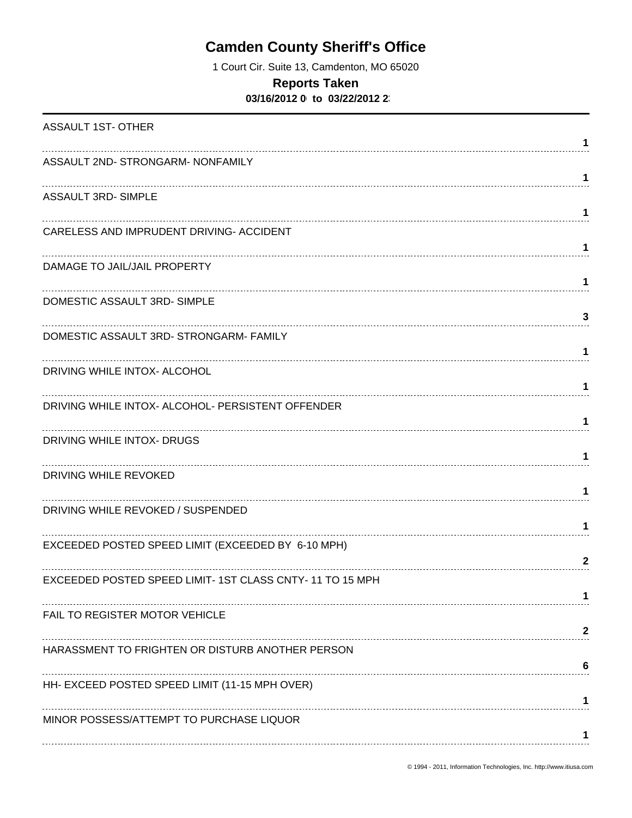## **Camden County Sheriff's Office**

1 Court Cir. Suite 13, Camdenton, MO 65020

## **Reports Taken**

**03/16/2012 0 to 03/22/2012 23** 

| <b>ASSAULT 1ST-OTHER</b>                                | 1            |
|---------------------------------------------------------|--------------|
| ASSAULT 2ND- STRONGARM- NONFAMILY                       | 1            |
| <b>ASSAULT 3RD- SIMPLE</b>                              | 1            |
| CARELESS AND IMPRUDENT DRIVING- ACCIDENT                |              |
| DAMAGE TO JAIL/JAIL PROPERTY                            | 1            |
| DOMESTIC ASSAULT 3RD-SIMPLE                             | 1            |
| DOMESTIC ASSAULT 3RD- STRONGARM- FAMILY                 | 3<br>1       |
| DRIVING WHILE INTOX- ALCOHOL                            | 1            |
| DRIVING WHILE INTOX- ALCOHOL- PERSISTENT OFFENDER       | 1            |
| DRIVING WHILE INTOX- DRUGS                              | 1            |
| DRIVING WHILE REVOKED                                   | 1            |
| DRIVING WHILE REVOKED / SUSPENDED                       | 1            |
| EXCEEDED POSTED SPEED LIMIT (EXCEEDED BY 6-10 MPH)      | $\mathbf{2}$ |
| EXCEEDED POSTED SPEED LIMIT-1ST CLASS CNTY-11 TO 15 MPH |              |
| FAIL TO REGISTER MOTOR VEHICLE                          |              |
| HARASSMENT TO FRIGHTEN OR DISTURB ANOTHER PERSON        | 2            |
| HH- EXCEED POSTED SPEED LIMIT (11-15 MPH OVER)          | 6            |
| MINOR POSSESS/ATTEMPT TO PURCHASE LIQUOR                |              |
|                                                         |              |